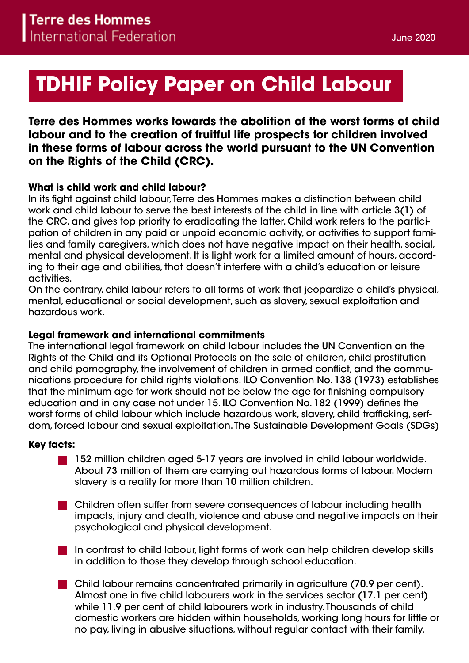# **TDHIF Policy Paper on Child Labour**

# **Terre des Hommes works towards the abolition of the worst forms of child labour and to the creation of fruitful life prospects for children involved in these forms of labour across the world pursuant to the UN Convention on the Rights of the Child (CRC).**

## **What is child work and child labour?**

In its fight against child labour, Terre des Hommes makes a distinction between child work and child labour to serve the best interests of the child in line with article 3(1) of the CRC, and gives top priority to eradicating the latter. Child work refers to the participation of children in any paid or unpaid economic activity, or activities to support families and family caregivers, which does not have negative impact on their health, social, mental and physical development. It is light work for a limited amount of hours, according to their age and abilities, that doesn't interfere with a child's education or leisure activities.

On the contrary, child labour refers to all forms of work that jeopardize a child's physical, mental, educational or social development, such as slavery, sexual exploitation and hazardous work.

### **Legal framework and international commitments**

The international legal framework on child labour includes the UN Convention on the Rights of the Child and its Optional Protocols on the sale of children, child prostitution and child pornography, the involvement of children in armed conflict, and the communications procedure for child rights violations. ILO Convention No. 138 (1973) establishes that the minimum age for work should not be below the age for finishing compulsory education and in any case not under 15. ILO Convention No. 182 (1999) defines the worst forms of child labour which include hazardous work, slavery, child trafficking, serfdom, forced labour and sexual exploitation. The Sustainable Development Goals (SDGs)

#### **Key facts:**

- 152 million children aged 5-17 years are involved in child labour worldwide. About 73 million of them are carrying out hazardous forms of labour. Modern slavery is a reality for more than 10 million children.
- **Children often suffer from severe consequences of labour including health** impacts, injury and death, violence and abuse and negative impacts on their psychological and physical development.
- In contrast to child labour, light forms of work can help children develop skills in addition to those they develop through school education.
- Child labour remains concentrated primarily in agriculture (70.9 per cent). Almost one in five child labourers work in the services sector (17.1 per cent) while 11.9 per cent of child labourers work in industry. Thousands of child domestic workers are hidden within households, working long hours for little or no pay, living in abusive situations, without regular contact with their family.